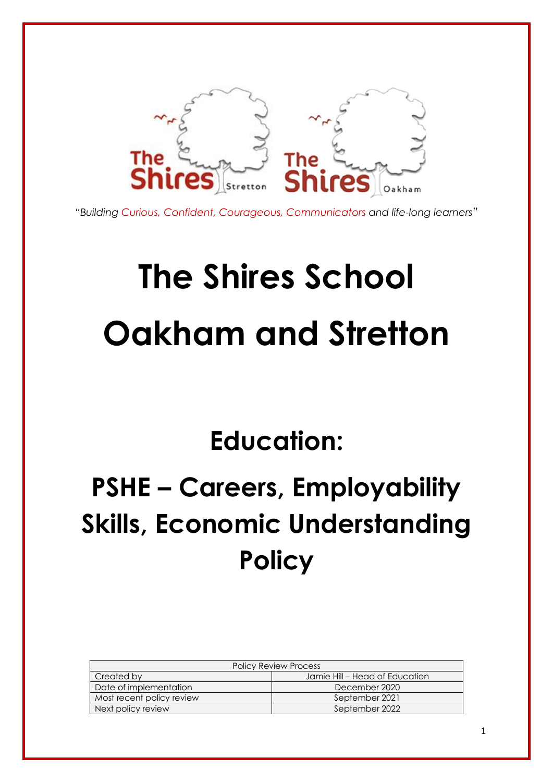

*"Building Curious, Confident, Courageous, Communicators and life-long learners"*

# **The Shires School Oakham and Stretton**

# **Education:**

# **PSHE – Careers, Employability Skills, Economic Understanding Policy**

| <b>Policy Review Process</b> |                                |  |
|------------------------------|--------------------------------|--|
| Created by                   | Jamie Hill – Head of Education |  |
| Date of implementation       | December 2020                  |  |
| Most recent policy review    | September 2021                 |  |
| Next policy review           | September 2022                 |  |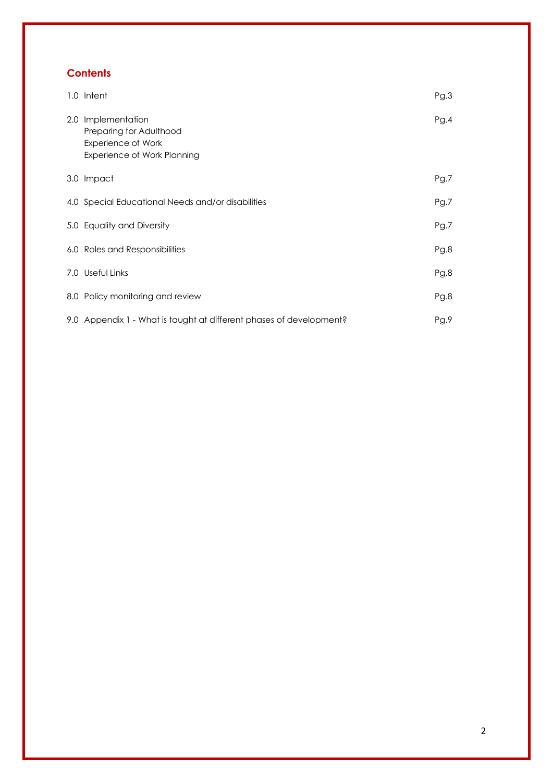# **Contents**

| 1.0 Intent                                                                                         | Pg.3 |
|----------------------------------------------------------------------------------------------------|------|
| 2.0 Implementation<br>Preparing for Adulthood<br>Experience of Work<br>Experience of Work Planning | Pg.4 |
| 3.0 Impact                                                                                         | Pg.7 |
| 4.0 Special Educational Needs and/or disabilities                                                  | Pg.7 |
| 5.0 Equality and Diversity                                                                         | Pg.7 |
| 6.0 Roles and Responsibilities                                                                     | Pg.8 |
| 7.0 Useful Links                                                                                   | Pg.8 |
| 8.0 Policy monitoring and review                                                                   | Pg.8 |
| 9.0 Appendix 1 - What is taught at different phases of development?                                | Pg.9 |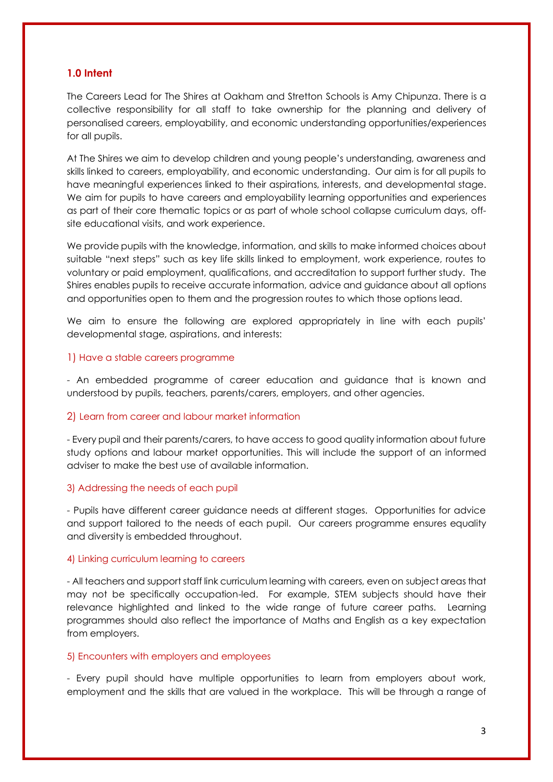# **1.0 Intent**

The Careers Lead for The Shires at Oakham and Stretton Schools is Amy Chipunza. There is a collective responsibility for all staff to take ownership for the planning and delivery of personalised careers, employability, and economic understanding opportunities/experiences for all pupils.

At The Shires we aim to develop children and young people's understanding, awareness and skills linked to careers, employability, and economic understanding. Our aim is for all pupils to have meaningful experiences linked to their aspirations, interests, and developmental stage. We aim for pupils to have careers and employability learning opportunities and experiences as part of their core thematic topics or as part of whole school collapse curriculum days, offsite educational visits, and work experience.

We provide pupils with the knowledge, information, and skills to make informed choices about suitable "next steps" such as key life skills linked to employment, work experience, routes to voluntary or paid employment, qualifications, and accreditation to support further study. The Shires enables pupils to receive accurate information, advice and guidance about all options and opportunities open to them and the progression routes to which those options lead.

We aim to ensure the following are explored appropriately in line with each pupils' developmental stage, aspirations, and interests:

#### 1) Have a stable careers programme

- An embedded programme of career education and guidance that is known and understood by pupils, teachers, parents/carers, employers, and other agencies.

# 2) Learn from career and labour market information

- Every pupil and their parents/carers, to have access to good quality information about future study options and labour market opportunities. This will include the support of an informed adviser to make the best use of available information.

#### 3) Addressing the needs of each pupil

- Pupils have different career guidance needs at different stages. Opportunities for advice and support tailored to the needs of each pupil. Our careers programme ensures equality and diversity is embedded throughout.

#### 4) Linking curriculum learning to careers

- All teachers and support staff link curriculum learning with careers, even on subject areas that may not be specifically occupation-led. For example, STEM subjects should have their relevance highlighted and linked to the wide range of future career paths. Learning programmes should also reflect the importance of Maths and English as a key expectation from employers.

# 5) Encounters with employers and employees

- Every pupil should have multiple opportunities to learn from employers about work, employment and the skills that are valued in the workplace. This will be through a range of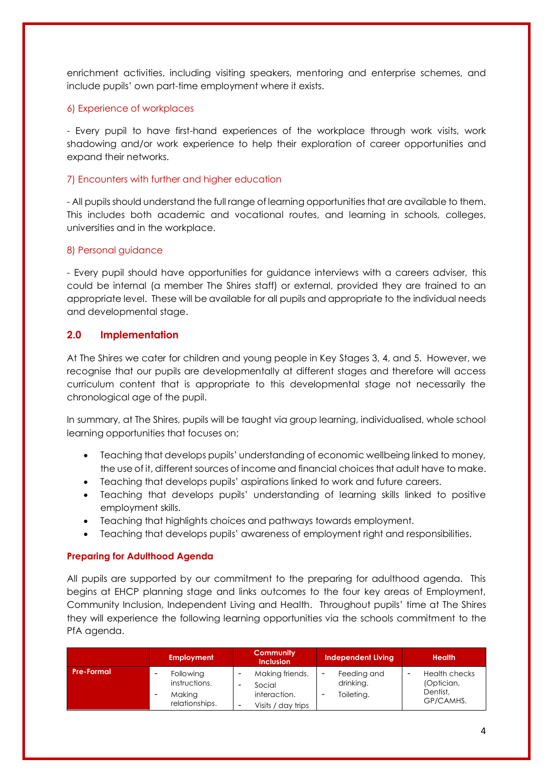enrichment activities, including visiting speakers, mentoring and enterprise schemes, and include pupils' own part-time employment where it exists.

# 6) Experience of workplaces

- Every pupil to have first-hand experiences of the workplace through work visits, work shadowing and/or work experience to help their exploration of career opportunities and expand their networks.

# 7) Encounters with further and higher education

- All pupils should understand the full range of learning opportunities that are available to them. This includes both academic and vocational routes, and learning in schools, colleges, universities and in the workplace.

# 8) Personal guidance

- Every pupil should have opportunities for guidance interviews with a careers adviser, this could be internal (a member The Shires staff) or external, provided they are trained to an appropriate level. These will be available for all pupils and appropriate to the individual needs and developmental stage.

# **2.0 Implementation**

At The Shires we cater for children and young people in Key Stages 3, 4, and 5. However, we recognise that our pupils are developmentally at different stages and therefore will access curriculum content that is appropriate to this developmental stage not necessarily the chronological age of the pupil.

In summary, at The Shires, pupils will be taught via group learning, individualised, whole school learning opportunities that focuses on;

- Teaching that develops pupils' understanding of economic wellbeing linked to money, the use of it, different sources of income and financial choices that adult have to make.
- Teaching that develops pupils' aspirations linked to work and future careers.
- Teaching that develops pupils' understanding of learning skills linked to positive employment skills.
- Teaching that highlights choices and pathways towards employment.
- Teaching that develops pupils' awareness of employment right and responsibilities.

# **Preparing for Adulthood Agenda**

All pupils are supported by our commitment to the preparing for adulthood agenda. This begins at EHCP planning stage and links outcomes to the four key areas of Employment, Community Inclusion, Independent Living and Health. Throughout pupils' time at The Shires they will experience the following learning opportunities via the schools commitment to the PfA agenda.

|                   | <b>Employment</b>                                             | <b>Community</b><br><b>Inclusion</b>                            | <b>Independent Living</b>              | <b>Health</b>                                               |
|-------------------|---------------------------------------------------------------|-----------------------------------------------------------------|----------------------------------------|-------------------------------------------------------------|
| <b>Pre-Formal</b> | <b>Following</b><br>instructions.<br>Making<br>relationships. | Making friends.<br>Social<br>interaction.<br>Visits / day trips | Feeding and<br>drinking.<br>Toileting. | <b>Health checks</b><br>(Optician,<br>Dentist,<br>GP/CAMHS. |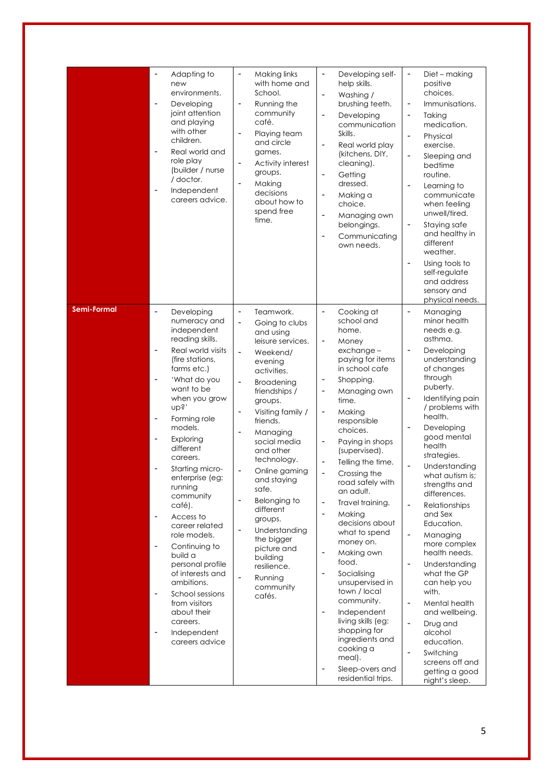|                    | Adapting to<br>$\overline{a}$<br>new<br>environments.<br>Developing<br>$\qquad \qquad \blacksquare$<br>joint attention<br>and playing<br>with other<br>children.<br>Real world and<br>role play<br>(builder / nurse<br>/ doctor.<br>Independent<br>$\overline{a}$<br>careers advice.                                                                                                                                                                                                                                                                                                                                                                                                                                                     | Making links<br>$\overline{a}$<br>with home and<br>School.<br>Running the<br>$\qquad \qquad \blacksquare$<br>community<br>café.<br>$\overline{a}$<br>Playing team<br>and circle<br>games.<br>Activity interest<br>$\qquad \qquad -$<br>groups.<br>Making<br>$\overline{\phantom{a}}$<br>decisions<br>about how to<br>spend free<br>time.                                                                                                                                                                                                                                                                                                                                                                                                              | Developing self-<br>$\overline{\phantom{a}}$<br>help skills.<br>$\overline{\phantom{m}}$<br>Washing /<br>brushing teeth.<br>Developing<br>$\overline{\phantom{a}}$<br>communication<br>Skills.<br>$\overline{\phantom{m}}$<br>Real world play<br>(kitchens, DIY,<br>cleaning).<br>Getting<br>$\overline{\phantom{a}}$<br>dressed.<br>Making a<br>choice.<br>$\overline{\phantom{a}}$<br>Managing own<br>belongings.<br>Communicating<br>$\overline{\phantom{0}}$<br>own needs.                                                                                                                                                                                                                                   | Diet - making<br>$\overline{\phantom{0}}$<br>positive<br>choices.<br>Immunisations.<br>$\overline{\phantom{0}}$<br>Taking<br>-<br>medication.<br>Physical<br>-<br>exercise.<br>$\overline{a}$<br>Sleeping and<br>bedtime<br>routine.<br>Learning to<br>-<br>communicate<br>when feeling<br>unwell/tired.<br>Staying safe<br>-<br>and healthy in<br>different<br>weather.<br>Using tools to<br>$\overline{a}$<br>self-regulate<br>and address<br>sensory and<br>physical needs.                                                                                                                                                                                                                                                                                                                                                                                            |
|--------------------|------------------------------------------------------------------------------------------------------------------------------------------------------------------------------------------------------------------------------------------------------------------------------------------------------------------------------------------------------------------------------------------------------------------------------------------------------------------------------------------------------------------------------------------------------------------------------------------------------------------------------------------------------------------------------------------------------------------------------------------|-------------------------------------------------------------------------------------------------------------------------------------------------------------------------------------------------------------------------------------------------------------------------------------------------------------------------------------------------------------------------------------------------------------------------------------------------------------------------------------------------------------------------------------------------------------------------------------------------------------------------------------------------------------------------------------------------------------------------------------------------------|------------------------------------------------------------------------------------------------------------------------------------------------------------------------------------------------------------------------------------------------------------------------------------------------------------------------------------------------------------------------------------------------------------------------------------------------------------------------------------------------------------------------------------------------------------------------------------------------------------------------------------------------------------------------------------------------------------------|---------------------------------------------------------------------------------------------------------------------------------------------------------------------------------------------------------------------------------------------------------------------------------------------------------------------------------------------------------------------------------------------------------------------------------------------------------------------------------------------------------------------------------------------------------------------------------------------------------------------------------------------------------------------------------------------------------------------------------------------------------------------------------------------------------------------------------------------------------------------------|
| <b>Semi-Formal</b> | $\overline{\phantom{a}}$<br>Developing<br>numeracy and<br>independent<br>reading skills.<br>Real world visits<br>$\overline{a}$<br>(fire stations,<br>farms etc.)<br>'What do you<br>٠<br>want to be<br>when you grow<br>nbs,<br>Forming role<br>٠<br>models.<br>Exploring<br>$\overline{a}$<br>different<br>careers.<br>Starting micro-<br>enterprise (eg:<br>running<br>community<br>café).<br>Access to<br>$\overline{\phantom{a}}$<br>career related<br>role models.<br>Continuing to<br>$\overline{\phantom{m}}$<br>build a<br>personal profile<br>of interests and<br>ambitions.<br>School sessions<br>$\qquad \qquad \blacksquare$<br>from visitors<br>about their<br>careers.<br>Independent<br>$\overline{a}$<br>careers advice | $\qquad \qquad \blacksquare$<br>Teamwork.<br>$\overline{\phantom{0}}$<br>Going to clubs<br>and using<br>leisure services.<br>Weekend/<br>$\overline{\phantom{a}}$<br>evening<br>activities.<br><b>Broadening</b><br>$\qquad \qquad \blacksquare$<br>friendships /<br>groups.<br>Visiting family /<br>$\qquad \qquad \blacksquare$<br>friends.<br>$\qquad \qquad \blacksquare$<br>Managing<br>social media<br>and other<br>technology.<br>Online gaming<br>$\overline{\phantom{a}}$<br>and staying<br>safe.<br>$\overline{\phantom{a}}$<br>Belonging to<br>different<br>groups.<br>Understanding<br>$\overline{\phantom{a}}$<br>the bigger<br>picture and<br>building<br>resilience.<br>$\qquad \qquad \blacksquare$<br>Running<br>community<br>cafés. | Cooking at<br>school and<br>home.<br>Money<br>$\overline{\phantom{a}}$<br>exchange-<br>paying for items<br>in school cafe<br>Shopping.<br>Managing own<br>time.<br>Making<br>responsible<br>choices.<br>Paying in shops<br>(supervised).<br>Telling the time.<br>$\overline{\phantom{m}}$<br>Crossing the<br>road safely with<br>an adult.<br>Travel training.<br>$\overline{\phantom{a}}$<br>Making<br>decisions about<br>what to spend<br>money on.<br>Making own<br>food.<br>Socialising<br>unsupervised in<br>town / local<br>community.<br>Independent<br>$\overline{\phantom{a}}$<br>living skills (eg:<br>shopping for<br>ingredients and<br>cooking a<br>meal).<br>Sleep-overs and<br>residential trips. | $\frac{1}{2}$<br>Managing<br>minor health<br>needs e.g.<br>asthma.<br>$\overline{\phantom{0}}$<br>Developing<br>understanding<br>of changes<br>through<br>puberty.<br>Identifying pain<br>$\overline{\phantom{0}}$<br>/ problems with<br>health.<br>Developing<br>$\overline{\phantom{0}}$<br>good mental<br>health<br>strategies.<br>$\overline{\phantom{0}}$<br>Understanding<br>what autism is;<br>strengths and<br>differences.<br>Relationships<br>$\overline{\phantom{0}}$<br>and Sex<br>Education.<br>$\overline{a}$<br>Managing<br>more complex<br>health needs.<br>Understanding<br>$\overline{a}$<br>what the GP<br>can help you<br>with.<br>Mental health<br>$\overline{a}$<br>and wellbeing.<br>$\overline{\phantom{0}}$<br>Drug and<br>alcohol<br>education.<br>Switching<br>$\overline{\phantom{0}}$<br>screens off and<br>getting a good<br>night's sleep. |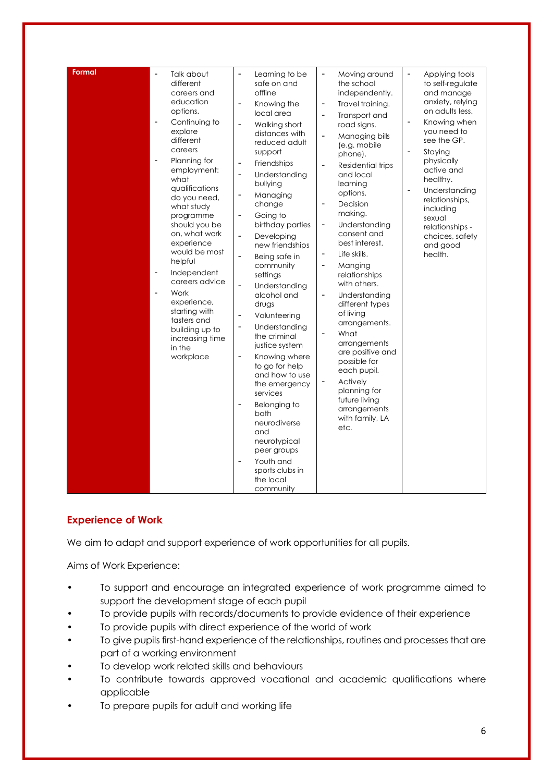| Formal | Talk about<br>different<br>careers and<br>education<br>options.<br>Continuing to<br>$\overline{\phantom{a}}$<br>explore<br>different<br>careers<br>Planning for<br>employment:<br>what<br>qualifications<br>do you need,<br>what study<br>programme<br>should you be<br>on, what work<br>experience<br>would be most<br>helpful<br>Independent<br>$\overline{\phantom{a}}$<br>careers advice<br>Work<br>experience,<br>starting with<br>tasters and<br>building up to<br>increasing time<br>in the<br>workplace | Learning to be<br>$\overline{\phantom{0}}$<br>safe on and<br>offline<br>Knowing the<br>$\overline{\phantom{a}}$<br>local area<br>Walking short<br>$\overline{\phantom{a}}$<br>distances with<br>reduced adult<br>support<br>Friendships<br>$\overline{\phantom{a}}$<br>Understanding<br>$\overline{\phantom{a}}$<br>bullying<br>Managing<br>$\overline{\phantom{0}}$<br>change<br>Going to<br>$\overline{\phantom{a}}$<br>birthday parties<br>Developing<br>$\overline{\phantom{a}}$<br>new friendships<br>Being safe in<br>$\overline{\phantom{a}}$<br>community<br>settings<br>Understanding<br>$\overline{\phantom{a}}$<br>alcohol and<br>drugs<br>Volunteering<br>Understanding<br>$\overline{\phantom{a}}$<br>the criminal<br>justice system<br>Knowing where<br>$\overline{\phantom{a}}$<br>to go for help<br>and how to use<br>the emergency<br>services<br>Belonging to<br>$\overline{\phantom{a}}$<br>both<br>neurodiverse<br>and<br>neurotypical<br>peer groups<br>Youth and<br>$\overline{\phantom{a}}$<br>sports clubs in<br>the local<br>community | $\qquad \qquad -$<br>Moving around<br>the school<br>independently.<br>Travel training.<br>$\qquad \qquad \blacksquare$<br>Transport and<br>$\overline{a}$<br>road signs.<br>Managing bills<br>$\overline{\phantom{a}}$<br>(e.g. mobile<br>phone).<br>Residential trips<br>$\overline{a}$<br>and local<br>learning<br>options.<br>Decision<br>$\overline{\phantom{a}}$<br>making.<br>Understanding<br>$\qquad \qquad \blacksquare$<br>consent and<br>best interest.<br>Life skills.<br>$\qquad \qquad \blacksquare$<br>Manging<br>$\overline{\phantom{a}}$<br>relationships<br>with others.<br>Understanding<br>$\qquad \qquad -$<br>different types<br>of living<br>arrangements.<br>What<br>$\qquad \qquad$<br>arrangements<br>are positive and<br>possible for<br>each pupil.<br>Actively<br>planning for<br>future living<br>arrangements<br>with family, LA<br>etc. | Applying tools<br>$\qquad \qquad \blacksquare$<br>to self-regulate<br>and manage<br>anxiety, relying<br>on adults less.<br>Knowing when<br>$\overline{\phantom{a}}$<br>you need to<br>see the GP.<br>$\overline{\phantom{a}}$<br>Staying<br>physically<br>active and<br>healthy.<br>Understanding<br>$\overline{\phantom{a}}$<br>relationships,<br>including<br>sexual<br>relationships -<br>choices, safety<br>and good<br>health. |
|--------|-----------------------------------------------------------------------------------------------------------------------------------------------------------------------------------------------------------------------------------------------------------------------------------------------------------------------------------------------------------------------------------------------------------------------------------------------------------------------------------------------------------------|-----------------------------------------------------------------------------------------------------------------------------------------------------------------------------------------------------------------------------------------------------------------------------------------------------------------------------------------------------------------------------------------------------------------------------------------------------------------------------------------------------------------------------------------------------------------------------------------------------------------------------------------------------------------------------------------------------------------------------------------------------------------------------------------------------------------------------------------------------------------------------------------------------------------------------------------------------------------------------------------------------------------------------------------------------------------|-------------------------------------------------------------------------------------------------------------------------------------------------------------------------------------------------------------------------------------------------------------------------------------------------------------------------------------------------------------------------------------------------------------------------------------------------------------------------------------------------------------------------------------------------------------------------------------------------------------------------------------------------------------------------------------------------------------------------------------------------------------------------------------------------------------------------------------------------------------------------|-------------------------------------------------------------------------------------------------------------------------------------------------------------------------------------------------------------------------------------------------------------------------------------------------------------------------------------------------------------------------------------------------------------------------------------|

# **Experience of Work**

We aim to adapt and support experience of work opportunities for all pupils.

Aims of Work Experience:

- To support and encourage an integrated experience of work programme aimed to support the development stage of each pupil
- To provide pupils with records/documents to provide evidence of their experience
- To provide pupils with direct experience of the world of work
- To give pupils first-hand experience of the relationships, routines and processes that are part of a working environment
- To develop work related skills and behaviours
- To contribute towards approved vocational and academic qualifications where applicable
- To prepare pupils for adult and working life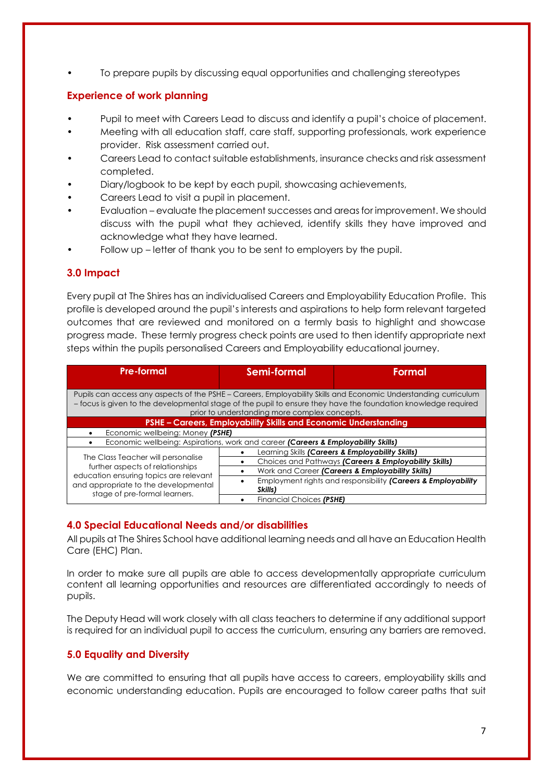• To prepare pupils by discussing equal opportunities and challenging stereotypes

# **Experience of work planning**

- Pupil to meet with Careers Lead to discuss and identify a pupil's choice of placement.
- Meeting with all education staff, care staff, supporting professionals, work experience provider. Risk assessment carried out.
- Careers Lead to contact suitable establishments, insurance checks and risk assessment completed.
- Diary/logbook to be kept by each pupil, showcasing achievements,
- Careers Lead to visit a pupil in placement.
- Evaluation evaluate the placement successes and areas for improvement. We should discuss with the pupil what they achieved, identify skills they have improved and acknowledge what they have learned.
- Follow up letter of thank you to be sent to employers by the pupil.

# **3.0 Impact**

Every pupil at The Shires has an individualised Careers and Employability Education Profile. This profile is developed around the pupil's interests and aspirations to help form relevant targeted outcomes that are reviewed and monitored on a termly basis to highlight and showcase progress made. These termly progress check points are used to then identify appropriate next steps within the pupils personalised Careers and Employability educational journey.

| Pre-formal                                                                                                                                                                                                                                                                         | Semi-formal                                           | Formal                                                        |  |  |
|------------------------------------------------------------------------------------------------------------------------------------------------------------------------------------------------------------------------------------------------------------------------------------|-------------------------------------------------------|---------------------------------------------------------------|--|--|
| Pupils can access any aspects of the PSHE - Careers, Employability Skills and Economic Understanding curriculum<br>- focus is given to the developmental stage of the pupil to ensure they have the foundation knowledge required<br>prior to understanding more complex concepts. |                                                       |                                                               |  |  |
| PSHE - Careers, Employability Skills and Economic Understanding                                                                                                                                                                                                                    |                                                       |                                                               |  |  |
| Economic wellbeing: Money (PSHE)                                                                                                                                                                                                                                                   |                                                       |                                                               |  |  |
| Economic wellbeing: Aspirations, work and career (Careers & Employability Skills)                                                                                                                                                                                                  |                                                       |                                                               |  |  |
|                                                                                                                                                                                                                                                                                    |                                                       | Learning Skills (Careers & Employability Skills)              |  |  |
| The Class Teacher will personalise<br>further aspects of relationships<br>education ensuring topics are relevant<br>and appropriate to the developmental<br>stage of pre-formal learners.                                                                                          | Choices and Pathways (Careers & Employability Skills) |                                                               |  |  |
|                                                                                                                                                                                                                                                                                    | Work and Career (Careers & Employability Skills)      |                                                               |  |  |
|                                                                                                                                                                                                                                                                                    |                                                       | Employment rights and responsibility (Careers & Employability |  |  |
|                                                                                                                                                                                                                                                                                    | Skills)                                               |                                                               |  |  |
|                                                                                                                                                                                                                                                                                    | Financial Choices (PSHE)                              |                                                               |  |  |

# **4.0 Special Educational Needs and/or disabilities**

All pupils at The Shires School have additional learning needs and all have an Education Health Care (EHC) Plan.

In order to make sure all pupils are able to access developmentally appropriate curriculum content all learning opportunities and resources are differentiated accordingly to needs of pupils.

The Deputy Head will work closely with all class teachers to determine if any additional support is required for an individual pupil to access the curriculum, ensuring any barriers are removed.

# **5.0 Equality and Diversity**

We are committed to ensuring that all pupils have access to careers, employability skills and economic understanding education. Pupils are encouraged to follow career paths that suit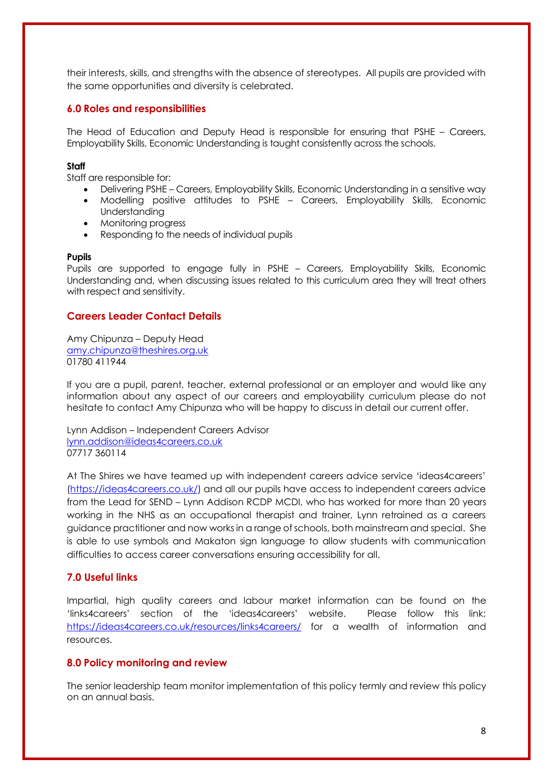their interests, skills, and strengths with the absence of stereotypes. All pupils are provided with the same opportunities and diversity is celebrated.

# **6.0 Roles and responsibilities**

The Head of Education and Deputy Head is responsible for ensuring that PSHE – Careers, Employability Skills, Economic Understanding is taught consistently across the schools.

#### **Staff**

Staff are responsible for:

- Delivering PSHE Careers, Employability Skills, Economic Understanding in a sensitive way
- Modelling positive attitudes to PSHE Careers, Employability Skills, Economic Understanding
- Monitoring progress
- Responding to the needs of individual pupils

#### **Pupils**

Pupils are supported to engage fully in PSHE – Careers, Employability Skills, Economic Understanding and, when discussing issues related to this curriculum area they will treat others with respect and sensitivity.

# **Careers Leader Contact Details**

Amy Chipunza – Deputy Head [amy.chipunza@theshires.org.uk](mailto:amy.chipunza@theshires.org.uk) 01780 411944

If you are a pupil, parent, teacher, external professional or an employer and would like any information about any aspect of our careers and employability curriculum please do not hesitate to contact Amy Chipunza who will be happy to discuss in detail our current offer.

Lynn Addison – Independent Careers Advisor [lynn.addison@ideas4careers.co.uk](mailto:lynn.addison@ideas4careers.co.uk) 07717 360114

At The Shires we have teamed up with independent careers advice service 'ideas4careers' [\(https://ideas4careers.co.uk/\)](https://ideas4careers.co.uk/) and all our pupils have access to independent careers advice from the Lead for SEND – Lynn Addison RCDP MCDI, who has worked for more than 20 years working in the NHS as an occupational therapist and trainer, Lynn retrained as a careers guidance practitioner and now works in a range of schools, both mainstream and special. She is able to use symbols and Makaton sign language to allow students with communication difficulties to access career conversations ensuring accessibility for all.

# **7.0 Useful links**

Impartial, high quality careers and labour market information can be found on the 'links4careers' section of the 'ideas4careers' website. Please follow this link; <https://ideas4careers.co.uk/resources/links4careers/> for a wealth of information and resources.

# **8.0 Policy monitoring and review**

The senior leadership team monitor implementation of this policy termly and review this policy on an annual basis.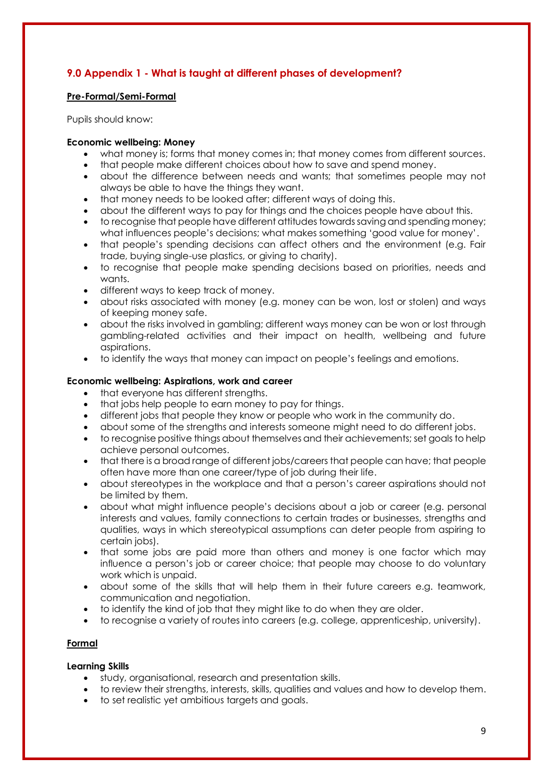# **9.0 Appendix 1 - What is taught at different phases of development?**

# **Pre-Formal/Semi-Formal**

Pupils should know:

# **Economic wellbeing: Money**

- what money is; forms that money comes in; that money comes from different sources.
- that people make different choices about how to save and spend money.
- about the difference between needs and wants; that sometimes people may not always be able to have the things they want.
- that money needs to be looked after; different ways of doing this.
- about the different ways to pay for things and the choices people have about this.
- to recognise that people have different attitudes towards saving and spending money; what influences people's decisions; what makes something 'good value for money'.
- that people's spending decisions can affect others and the environment (e.g. Fair trade, buying single-use plastics, or giving to charity).
- to recognise that people make spending decisions based on priorities, needs and wants.
- different ways to keep track of money.
- about risks associated with money (e.g. money can be won, lost or stolen) and ways of keeping money safe.
- about the risks involved in gambling; different ways money can be won or lost through gambling-related activities and their impact on health, wellbeing and future aspirations.
- to identify the ways that money can impact on people's feelings and emotions.

# **Economic wellbeing: Aspirations, work and career**

- that everyone has different strengths.
- that jobs help people to earn money to pay for things.
- different jobs that people they know or people who work in the community do.
- about some of the strengths and interests someone might need to do different jobs.
- to recognise positive things about themselves and their achievements; set goals to help achieve personal outcomes.
- that there is a broad range of different jobs/careers that people can have; that people often have more than one career/type of job during their life.
- about stereotypes in the workplace and that a person's career aspirations should not be limited by them.
- about what might influence people's decisions about a job or career (e.g. personal interests and values, family connections to certain trades or businesses, strengths and qualities, ways in which stereotypical assumptions can deter people from aspiring to certain jobs).
- that some jobs are paid more than others and money is one factor which may influence a person's job or career choice; that people may choose to do voluntary work which is unpaid.
- about some of the skills that will help them in their future careers e.g. teamwork, communication and negotiation.
- to identify the kind of job that they might like to do when they are older.
- to recognise a variety of routes into careers (e.g. college, apprenticeship, university).

# **Formal**

# **Learning Skills**

- study, organisational, research and presentation skills.
- to review their strengths, interests, skills, qualities and values and how to develop them.
- to set realistic yet ambitious targets and goals.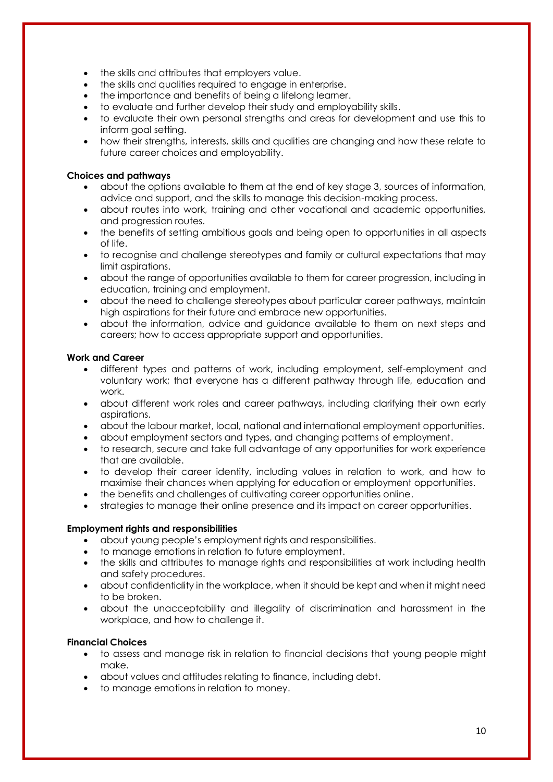- the skills and attributes that employers value.
- the skills and qualities required to engage in enterprise.
- the importance and benefits of being a lifelong learner.
- to evaluate and further develop their study and employability skills.
- to evaluate their own personal strengths and areas for development and use this to inform goal setting.
- how their strengths, interests, skills and qualities are changing and how these relate to future career choices and employability.

# **Choices and pathways**

- about the options available to them at the end of key stage 3, sources of information, advice and support, and the skills to manage this decision-making process.
- about routes into work, training and other vocational and academic opportunities, and progression routes.
- the benefits of setting ambitious goals and being open to opportunities in all aspects of life.
- to recognise and challenge stereotypes and family or cultural expectations that may limit aspirations.
- about the range of opportunities available to them for career progression, including in education, training and employment.
- about the need to challenge stereotypes about particular career pathways, maintain high aspirations for their future and embrace new opportunities.
- about the information, advice and guidance available to them on next steps and careers; how to access appropriate support and opportunities.

# **Work and Career**

- different types and patterns of work, including employment, self-employment and voluntary work; that everyone has a different pathway through life, education and work.
- about different work roles and career pathways, including clarifying their own early aspirations.
- about the labour market, local, national and international employment opportunities.
- about employment sectors and types, and changing patterns of employment.
- to research, secure and take full advantage of any opportunities for work experience that are available.
- to develop their career identity, including values in relation to work, and how to maximise their chances when applying for education or employment opportunities.
- the benefits and challenges of cultivating career opportunities online.
- strategies to manage their online presence and its impact on career opportunities.

# **Employment rights and responsibilities**

- about young people's employment rights and responsibilities.
- to manage emotions in relation to future employment.
- the skills and attributes to manage rights and responsibilities at work including health and safety procedures.
- about confidentiality in the workplace, when it should be kept and when it might need to be broken.
- about the unacceptability and illegality of discrimination and harassment in the workplace, and how to challenge it.

# **Financial Choices**

- to assess and manage risk in relation to financial decisions that young people might make.
- about values and attitudes relating to finance, including debt.
- to manage emotions in relation to money.